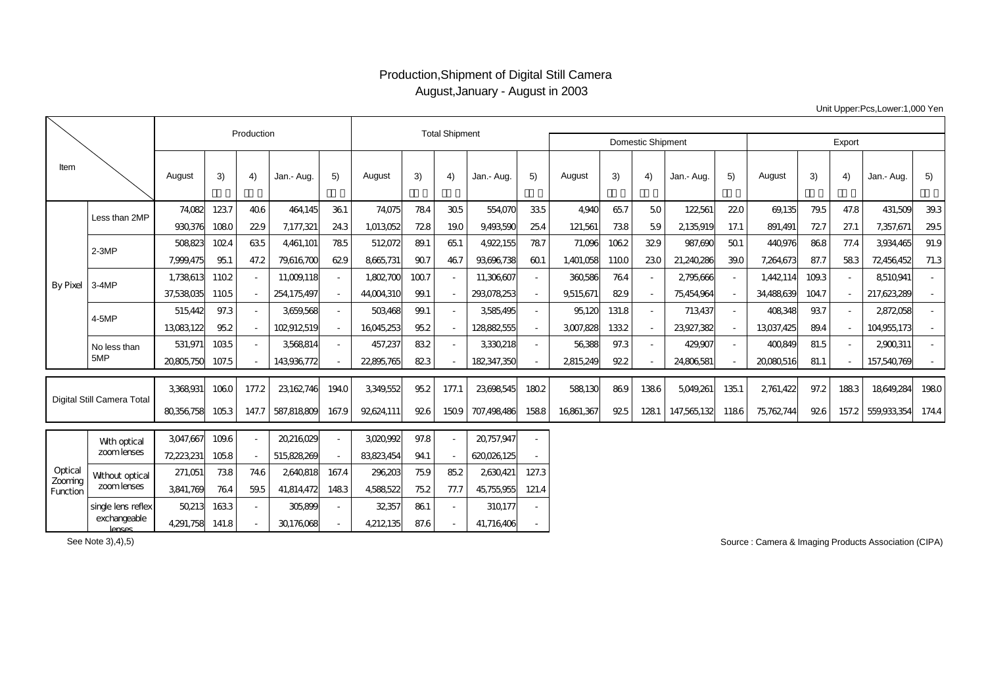## Production,Shipment of Digital Still Camera August,January - August in 2003

Unit Upper:Pcs,Lower:1,000 Yen

|                                |                             |            | Production |       | <b>Total Shipment</b> |                          |            |                          |       |             |       |             |       |                          |             |        |            |      |       |             |        |
|--------------------------------|-----------------------------|------------|------------|-------|-----------------------|--------------------------|------------|--------------------------|-------|-------------|-------|-------------|-------|--------------------------|-------------|--------|------------|------|-------|-------------|--------|
|                                |                             |            |            |       |                       |                          |            | <b>Domestic Shipment</b> |       | Export      |       |             |       |                          |             |        |            |      |       |             |        |
| Item                           |                             | August     | 3)         | 4)    | Jan.- Aug.            | 5)                       | August     | 3)                       | 4)    | Jan.- Aug.  | 5)    | August      | 3)    | 4)                       | Jan.- Aug.  | 5)     | August     | 3)   | 4)    | Jan.- Aug.  | 5)     |
| By Pixel                       | Less than 2MP               | 74,082     | 1237       | 406   | 464145                | 361                      | 74075      | 784                      | 305   | 554,070     | 335   | <b>4940</b> | 657   | 50                       | 122,561     | 220    | 69,135     | 79.5 | 47.8  | 431,509     | 39.3   |
|                                |                             | 930,376    | 1080       | 229   | 7,177,321             | 243                      | 1,013052   | 728                      | 190   | 9493590     | 254   | 121,561     | 738   | 59                       | 2135,919    | 17.1   | 891,491    | 727  | 27.1  | 7,357,671   | 29.5   |
|                                | $2-3MP$                     | 508823     | 1024       | 635   | 4461.101              | 785                      | 512072     | 89.1                     | 65.1  | 4922,155    | 787   | 71,096      | 1062  | 329                      | 987.690     | 501    | 440,976    | 868  | 77.4  | 3934.465    | 91.9   |
|                                |                             | 7,999,475  | 951        | 47.2  | 79,616700             | 629                      | 8665731    | 90.7                     | 467   | 93696738    | 601   | 1,401,058   | 1100  | 230                      | 21,240,286  | 390    | 7,264,673  | 87.7 | 583   | 72456452    | 71.3   |
|                                | 3-4MP                       | 1.738613   | 1102       |       | 11.009.118            | $\sim$                   | 1,802700   | 100.7                    |       | 11.306607   |       | 360586      | 764   | $\sim$                   | 2795.666    | $\sim$ | 1,442,114  | 1093 |       | 8510941     |        |
|                                |                             | 37,538,035 | 1105       |       | 254,175,497           | $\overline{\phantom{a}}$ | 44,004,310 | 99.1                     |       | 293078253   |       | 9,515,671   | 829   | $\overline{\phantom{a}}$ | 75454964    | $\sim$ | 34488639   | 1047 |       | 217.623.289 |        |
|                                | 4-5MP                       | 515.442    | 97.3       |       | 3659568               | $\sim$                   | 503468     | 99.1                     |       | 3585495     |       | 95.120      | 131.8 | $\sim$                   | 713437      | $\sim$ | 408348     | 937  |       | 2872058     | $\sim$ |
|                                |                             | 13083122   | 952        |       | 102912519             | $\sim$                   | 16045,253  | 952                      |       | 128882555   |       | 3007,828    | 1332  | $\sim$                   | 23927.382   | $\sim$ | 13037,425  | 894  |       | 104955173   |        |
|                                | No less than                | 531.971    | 1035       |       | 3568814               | $\sim$                   | 457,237    | 832                      |       | 3330218     |       | 56388       | 97.3  | $\sim$                   | 429.907     |        | 400849     | 81.5 |       | 2900311     |        |
|                                | 5MP                         | 20805,750  | 107.5      |       | 143936772             | ÷.                       | 22,895,765 | 823                      |       | 182,347,350 |       | 2815249     | 922   | $\sim$                   | 24806581    |        | 20080516   | 81.1 |       | 157,540,769 |        |
| Digital Still Camera Total     |                             | 3368931    | 1060       | 177.2 | 23,162,746            | 1940                     | 3349,552   | 952                      | 177.1 | 23698545    | 1802  | 588130      | 869   | 1386                     | 5049,261    | 135.1  | 2,761,422  | 97.2 | 1883  | 18649,284   | 1980   |
|                                |                             | 80356758   | 1053       | 147.7 | 587.818809            | 167.9                    | 92624111   | 926                      | 1509  | 707.498486  | 1588  | 16861.367   | 925   | 1281                     | 147.565.132 | 1186   | 75,762,744 | 926  | 157.2 | 559,933,354 | 1744   |
|                                |                             | 3047,667   | 109.6      |       | 20216029              | $\sim$                   | 3020,992   | 97.8                     |       | 20,757,947  |       |             |       |                          |             |        |            |      |       |             |        |
|                                | With optical<br>zoom lenses | 72,223,231 | 105.8      |       | 515828269             |                          | 83823454   | 941                      |       | 620,026,125 |       |             |       |                          |             |        |            |      |       |             |        |
| Optical<br>Zooming<br>Function | Without optical             | 271,051    | 738        | 746   | 2640818               | 167.4                    | 296,203    | 759                      | 85.2  | 2630421     | 127.3 |             |       |                          |             |        |            |      |       |             |        |
|                                | zoom lenses                 | 3841,769   | 764        | 59.5  | 41,814,472            | 1483                     | 4,588,522  | 752                      | 77.7  | 45,755,955  | 121.4 |             |       |                          |             |        |            |      |       |             |        |
|                                | single lens reflex          | 50213      | 1633       |       | 305,899               | $\overline{\phantom{a}}$ | 32,357     | 861                      |       | 310177      |       |             |       |                          |             |        |            |      |       |             |        |
|                                | exchangeable<br>lenses      | 4,291,758  | 141.8      |       | 30176068              |                          | 4212135    | 87.6                     |       | 41.716406   |       |             |       |                          |             |        |            |      |       |             |        |

See Note 3),4),5)

Source : Camera & Imaging Products Association (CIPA)